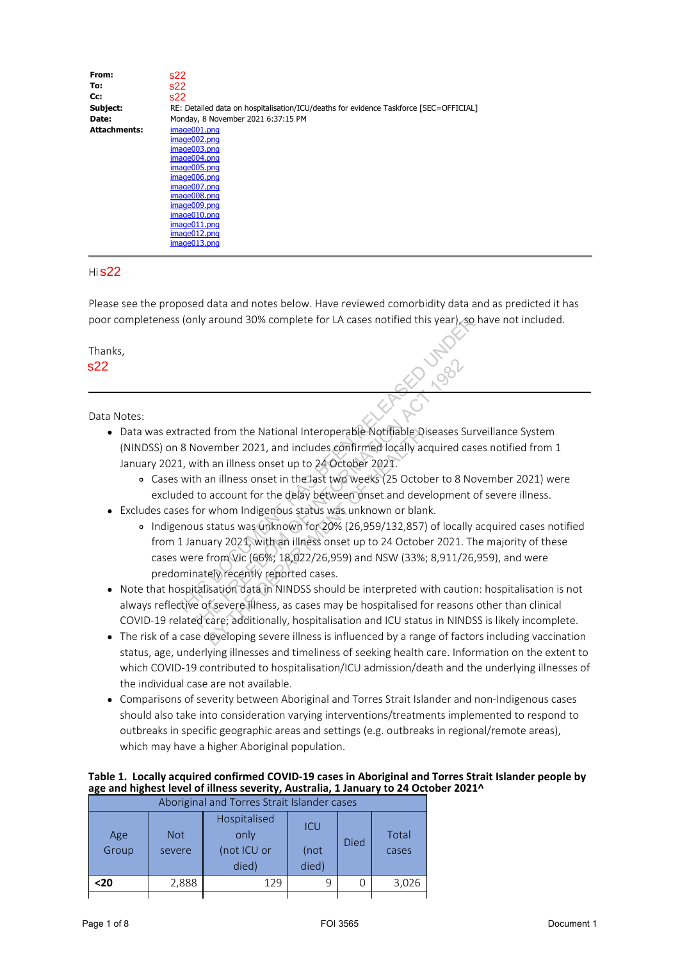| From:               | s22                                                                                   |
|---------------------|---------------------------------------------------------------------------------------|
| To:                 | s22                                                                                   |
| Cc:                 | s22                                                                                   |
| Subject:            | RE: Detailed data on hospitalisation/ICU/deaths for evidence Taskforce [SEC=OFFICIAL] |
| Date:               | Monday, 8 November 2021 6:37:15 PM                                                    |
| <b>Attachments:</b> | image001.png                                                                          |
|                     | image002.png                                                                          |
|                     | image003.png                                                                          |
|                     | image004.png                                                                          |
|                     | image005.png                                                                          |
|                     | image006.png                                                                          |
|                     | image007.png                                                                          |
|                     | image008.png                                                                          |
|                     | image009.png                                                                          |
|                     | image010.png                                                                          |
|                     | image011.png                                                                          |
|                     | image012.png                                                                          |

### Hi **s22**

image013.png

Please see the proposed data and notes below. Have reviewed comorbidity data and as predicted it has poor completeness (only around 30% complete for LA cases notified this year), so have not included.

- Data was extracted from the National Interoperable Notifiable Diseases Surveillance System (NINDSS) on 8 November 2021, and includes confirmed locally acquired cases notified from 1 January 2021, with an illness onset up to 24 October 2021.
	- Cases with an illness onset in the last two weeks (25 October to 8 November 2021) were excluded to account for the delay between onset and development of severe illness.
- Excludes cases for whom Indigenous status was unknown or blank.
- Indigenous status was unknown for 20% (26,959/132,857) of locally acquired cases notified from 1 January 2021, with an illness onset up to 24 October 2021. The majority of these cases were from Vic (66%; 18,022/26,959) and NSW (33%; 8,911/26,959), and were predominately recently reported cases. cted from the National Interoperable Notifiable Diseases Su<br>November 2021, and includes confirmed locally acquired ca<br>with an illness onset up to 24 October 2021.<br>The anillness onset in the last two weeks (25 October to 8 d from the National Interoperable Notifiable Dise<br>
rember 2021, and includes confirmed locally acqu<br>
i an illness onset up to 24 October 2021.<br>
an illness onset in the last two weeks (25 Octobe<br>
account for the delay betwe
- Note that hospitalisation data in NINDSS should be interpreted with caution: hospitalisation is not always reflective of severe illness, as cases may be hospitalised for reasons other than clinical COVID-19 related care; additionally, hospitalisation and ICU status in NINDSS is likely incomplete.
- The risk of a case developing severe illness is influenced by a range of factors including vaccination status, age, underlying illnesses and timeliness of seeking health care. Information on the extent to which COVID-19 contributed to hospitalisation/ICU admission/death and the underlying illnesses of the individual case are not available.
- Comparisons of severity between Aboriginal and Torres Strait Islander and non-Indigenous cases should also take into consideration varying interventions/treatments implemented to respond to outbreaks in specific geographic areas and settings (e.g. outbreaks in regional/remote areas), which may have a higher Aboriginal population.

## **Table 1. Locally acquired confirmed COVID-19 cases in Aboriginal and Torres Strait Islander people by age and highest level of illness severity, Australia, 1 January to 24 October 2021^**

|             |            |                                                                                                                                    |       |             |       | poor completeness (only around 30% complete for LA cases notified this year), so have not included.                                                                                              |
|-------------|------------|------------------------------------------------------------------------------------------------------------------------------------|-------|-------------|-------|--------------------------------------------------------------------------------------------------------------------------------------------------------------------------------------------------|
| Thanks,     |            |                                                                                                                                    |       |             |       |                                                                                                                                                                                                  |
| s22         |            |                                                                                                                                    |       |             |       | ASID UND                                                                                                                                                                                         |
|             |            |                                                                                                                                    |       |             |       |                                                                                                                                                                                                  |
| Data Notes: |            |                                                                                                                                    |       |             |       |                                                                                                                                                                                                  |
|             |            |                                                                                                                                    |       |             |       | • Data was extracted from the National Interoperable Notifiable Diseases Surveillance System                                                                                                     |
|             |            |                                                                                                                                    |       |             |       | (NINDSS) on 8 November 2021, and includes confirmed locally acquired cases notified from 1                                                                                                       |
|             |            | January 2021, with an illness onset up to 24 October 2021.                                                                         |       |             |       |                                                                                                                                                                                                  |
|             |            |                                                                                                                                    |       |             |       | o Cases with an illness onset in the last two weeks (25 October to 8 November 2021) were                                                                                                         |
|             |            |                                                                                                                                    |       |             |       | excluded to account for the delay between onset and development of severe illness.                                                                                                               |
|             |            | Excludes cases for whom Indigenous status was unknown or blank.                                                                    |       |             |       |                                                                                                                                                                                                  |
|             |            |                                                                                                                                    |       |             |       | o Indigenous status was unknown for 20% (26,959/132,857) of locally acquired cases notified<br>from 1 January 2021, with an illness onset up to 24 October 2021. The majority of these           |
|             |            |                                                                                                                                    |       |             |       | cases were from Vic (66%; 18,022/26,959) and NSW (33%; 8,911/26,959), and were                                                                                                                   |
|             |            | predominately recently reported cases.                                                                                             |       |             |       |                                                                                                                                                                                                  |
|             |            |                                                                                                                                    |       |             |       | Note that hospitalisation data in NINDSS should be interpreted with caution: hospitalisation is not                                                                                              |
|             |            |                                                                                                                                    |       |             |       | always reflective of severe illness, as cases may be hospitalised for reasons other than clinical                                                                                                |
|             |            |                                                                                                                                    |       |             |       | COVID-19 related care; additionally, hospitalisation and ICU status in NINDSS is likely incomplete.                                                                                              |
| $\bullet$   |            |                                                                                                                                    |       |             |       | The risk of a case developing severe illness is influenced by a range of factors including vaccination                                                                                           |
|             |            |                                                                                                                                    |       |             |       | status, age, underlying illnesses and timeliness of seeking health care. Information on the extent to                                                                                            |
|             |            |                                                                                                                                    |       |             |       | which COVID-19 contributed to hospitalisation/ICU admission/death and the underlying illnesses of                                                                                                |
|             |            | the individual case are not available.                                                                                             |       |             |       |                                                                                                                                                                                                  |
|             |            |                                                                                                                                    |       |             |       | Comparisons of severity between Aboriginal and Torres Strait Islander and non-Indigenous cases                                                                                                   |
|             |            |                                                                                                                                    |       |             |       | should also take into consideration varying interventions/treatments implemented to respond to<br>outbreaks in specific geographic areas and settings (e.g. outbreaks in regional/remote areas), |
|             |            | which may have a higher Aboriginal population.                                                                                     |       |             |       |                                                                                                                                                                                                  |
|             |            |                                                                                                                                    |       |             |       |                                                                                                                                                                                                  |
|             |            |                                                                                                                                    |       |             |       | Table 1. Locally acquired confirmed COVID-19 cases in Aboriginal and Torres Strait Islander people by                                                                                            |
|             |            | age and highest level of illness severity, Australia, 1 January to 24 October 2021^<br>Aboriginal and Torres Strait Islander cases |       |             |       |                                                                                                                                                                                                  |
|             |            | Hospitalised                                                                                                                       |       |             |       |                                                                                                                                                                                                  |
| Age         | <b>Not</b> | only                                                                                                                               | ICU   |             | Total |                                                                                                                                                                                                  |
| Group       | severe     | (not ICU or                                                                                                                        | (not  | Died        | cases |                                                                                                                                                                                                  |
|             |            | died)                                                                                                                              | died) |             |       |                                                                                                                                                                                                  |
| $20$        | 2,888      | 129                                                                                                                                | 9     | $\mathbf 0$ | 3,026 |                                                                                                                                                                                                  |
|             |            |                                                                                                                                    |       |             |       |                                                                                                                                                                                                  |
| Page 1 of 8 |            |                                                                                                                                    |       | FOI 3565    |       | Document 1                                                                                                                                                                                       |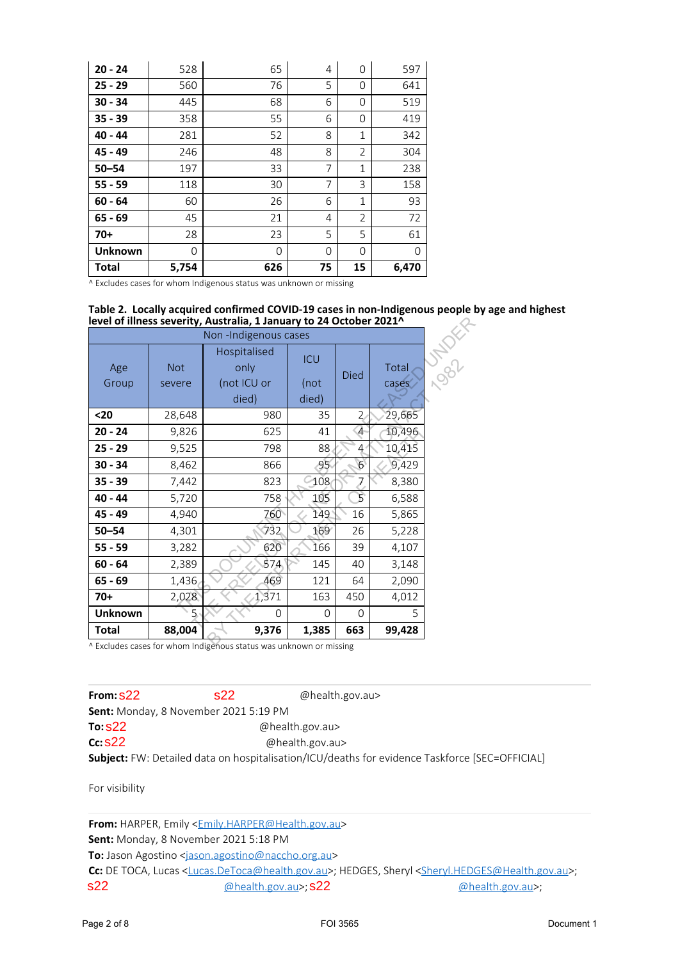| $20 - 24$      | 528   | 65  | 4              | $\Omega$       | 597   |
|----------------|-------|-----|----------------|----------------|-------|
| $25 - 29$      | 560   | 76  | 5              | 0              | 641   |
| $30 - 34$      | 445   | 68  | 6              | 0              | 519   |
| $35 - 39$      | 358   | 55  | 6              | 0              | 419   |
| $40 - 44$      | 281   | 52  | 8              | 1              | 342   |
| $45 - 49$      | 246   | 48  | 8              | $\overline{2}$ | 304   |
| $50 - 54$      | 197   | 33  | $\overline{7}$ | $\mathbf 1$    | 238   |
| $55 - 59$      | 118   | 30  | $\overline{7}$ | 3              | 158   |
| $60 - 64$      | 60    | 26  | 6              | 1              | 93    |
| $65 - 69$      | 45    | 21  | 4              | $\overline{2}$ | 72    |
| $70+$          | 28    | 23  | 5              | 5              | 61    |
| <b>Unknown</b> | 0     | 0   | $\Omega$       | 0              | 0     |
| <b>Total</b>   | 5,754 | 626 | 75             | 15             | 6,470 |

^ Excludes cases for whom Indigenous status was unknown or missing

#### **Table 2. Locally acquired confirmed COVID-19 cases in non-Indigenous people by age and highest level of illness severity, Australia, 1 January to 24 October 2021^**

|                                       |                      | level of illness severity, Australia, 1 January to 24 October 2021^<br>Non-Indigenous cases                             |                                                       |                 |                |                                                                                                                                                           |
|---------------------------------------|----------------------|-------------------------------------------------------------------------------------------------------------------------|-------------------------------------------------------|-----------------|----------------|-----------------------------------------------------------------------------------------------------------------------------------------------------------|
| Age<br>Group                          | <b>Not</b><br>severe | Hospitalised<br>only<br>(not ICU or<br>died)                                                                            | <b>ICU</b><br>(not<br>died)                           | <b>Died</b>     | Total<br>cases | J 0901/2                                                                                                                                                  |
| $20$                                  | 28,648               | 980                                                                                                                     | 35                                                    | $\overline{2}$  | 29,665         |                                                                                                                                                           |
| $20 - 24$                             | 9,826                | 625                                                                                                                     | 41                                                    | $\overline{4}$  | 10,496         |                                                                                                                                                           |
| $25 - 29$                             | 9,525                | 798                                                                                                                     | 88                                                    | 4               | 10,415         |                                                                                                                                                           |
| $30 - 34$                             | 8,462                | 866                                                                                                                     | 95                                                    | $6\overline{6}$ | 9,429          |                                                                                                                                                           |
| $35 - 39$                             | 7,442                | 823                                                                                                                     | 108                                                   | 7               | 8,380          |                                                                                                                                                           |
| $40 - 44$                             | 5,720                | 758                                                                                                                     | 105                                                   | $\overline{5}$  | 6,588          |                                                                                                                                                           |
| 45 - 49                               | 4,940                | 760                                                                                                                     | 149                                                   | 16              | 5,865          |                                                                                                                                                           |
| $50 - 54$                             | 4,301                | 732                                                                                                                     | 169                                                   | 26              | 5,228          |                                                                                                                                                           |
| $55 - 59$                             | 3,282                | 620                                                                                                                     | 166                                                   | 39              | 4,107          |                                                                                                                                                           |
| $60 - 64$                             | 2,389                | 874                                                                                                                     | 145                                                   | 40              | 3,148          |                                                                                                                                                           |
| $65 - 69$                             | 1,436                | 469                                                                                                                     | 121                                                   | 64              | 2,090          |                                                                                                                                                           |
| $70+$                                 | 2,028                | 1,371                                                                                                                   | 163                                                   | 450             | 4,012          |                                                                                                                                                           |
| <b>Unknown</b>                        | 5                    | $\mathbf{O}$                                                                                                            | 0                                                     | 0               | 5              |                                                                                                                                                           |
| <b>Total</b>                          | 88,004               | 9,376                                                                                                                   | 1,385                                                 | 663             | 99,428         |                                                                                                                                                           |
| From: S22<br>To: \$22<br>$cc$ : $S22$ |                      | s22<br>Sent: Monday, 8 November 2021 5:19 PM                                                                            | @health.gov.au><br>@health.gov.au><br>@health.gov.au> |                 |                |                                                                                                                                                           |
| For visibility                        |                      |                                                                                                                         |                                                       |                 |                | Subject: FW: Detailed data on hospitalisation/ICU/deaths for evidence Taskforce [SEC=OFFICIAL]                                                            |
|                                       |                      | From: HARPER, Emily <emily.harper@health.gov.au><br/>Sent: Monday, 8 November 2021 5:18 PM</emily.harper@health.gov.au> |                                                       |                 |                |                                                                                                                                                           |
|                                       |                      | To: Jason Agostino <jason.agostino@naccho.org.au></jason.agostino@naccho.org.au>                                        |                                                       |                 |                |                                                                                                                                                           |
|                                       |                      |                                                                                                                         |                                                       |                 |                | Cc: DE TOCA, Lucas <lucas.detoca@health.gov.au>; HEDGES, Sheryl <sheryl.hedges@health.gov.au>;</sheryl.hedges@health.gov.au></lucas.detoca@health.gov.au> |
| s22                                   |                      | @health.gov.au>; S22                                                                                                    |                                                       |                 |                | @health.gov.au>;                                                                                                                                          |
| Page 2 of 8                           |                      |                                                                                                                         |                                                       | FOI 3565        |                | Document 1                                                                                                                                                |

| From $S22$                                   | S <sub>22</sub> | @health.gov.au>                                                                                |
|----------------------------------------------|-----------------|------------------------------------------------------------------------------------------------|
| <b>Sent:</b> Monday, 8 November 2021 5:19 PM |                 |                                                                                                |
| To $S22$                                     |                 | @health.gov.au>                                                                                |
| $cc$ s22                                     |                 | @health.gov.au>                                                                                |
|                                              |                 | Subject: FW: Detailed data on hospitalisation/ICU/deaths for evidence Taskforce [SEC=OFFICIAL] |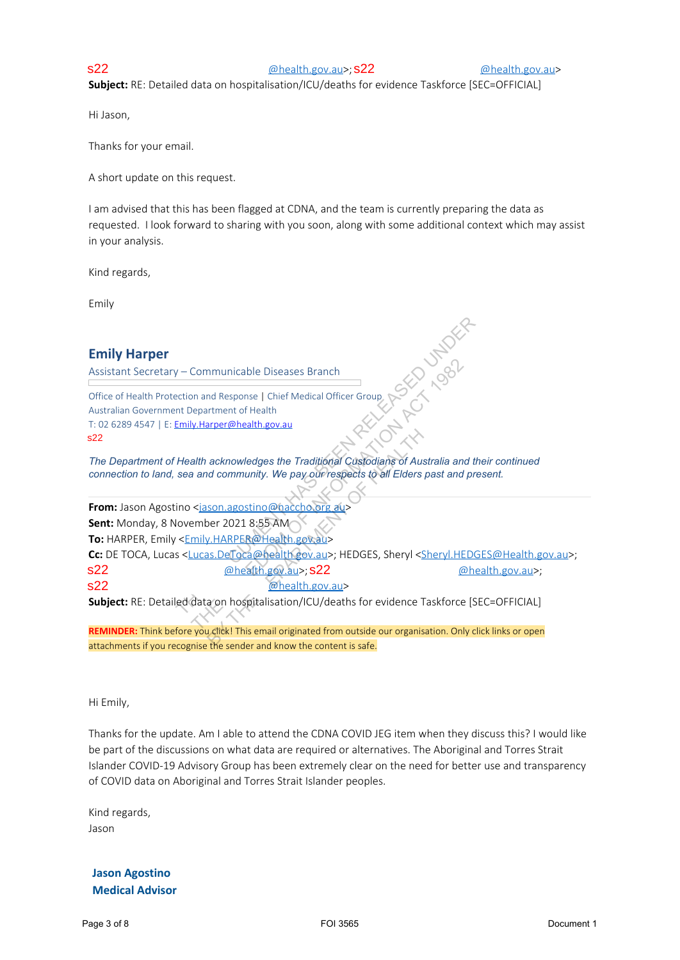@health.gov.au>; @health.gov.au> s22 s22

**Subject:** RE: Detailed data on hospitalisation/ICU/deaths for evidence Taskforce [SEC=OFFICIAL]

Hi Jason,

Thanks for your email.

A short update on this request.

I am advised that this has been flagged at CDNA, and the team is currently preparing the data as requested. I look forward to sharing with you soon, along with some additional context which may assist in your analysis.

Kind regards,

Emily

# **Emily Harper**

Assistant Secretary – Communicable Diseases Branch

Office of Health Protection and Response | Chief Medical Officer Group Australian Government Department of Health T: 02 6289 4547 | E: Emily.Harper@health.gov.au s22

*The Department of Health acknowledges the Traditional Custodians of Australia and their continued connection to land, sea and community. We pay our respects to all Elders past and present.*

From: Jason Agostino <jason.agostino@naccho.org au> **Sent:** Monday, 8 November 2021 8:55 AM **To:** HARPER, Emily <Emily.HARPER@Health.gov.au> Cc: DE TOCA, Lucas <Lucas.DeToca@health gov.au>; HEDGES, Sheryl <Sheryl.HEDGES@Health.gov.au>; @health.gov.au>; @health.gov.au>; s22 s22 @health.gov.au> Emily Harper<br>
Assistant Secretary – Communicable Diseases Branch<br>
Office of Health Individuals and Secretary – Charles Health Measure Charles<br>
And The Department of Health addressing the Traditional Cualidating in the Aus Communicable Diseases Branch<br>
In and Response | Chief Medical Officer Group<br>
Department of Health<br>
In the department of Health<br>
Alth acknowledges the Traditional Custodians of Australia and<br>
and community. We pay our respe acknowledges the Traditional Custodians of Austral<br>
acknowledges the Traditional Custodians of Austral<br>
Son.agostino@naccho.org au><br>
Der 2021 8:55 AM<br>
Der 2021 8:55 AM<br>
BRICGCA Contract Custodians<br>
BRICGCA Contract Custodi s22

**Subject:** RE: Detailed data on hospitalisation/ICU/deaths for evidence Taskforce [SEC=OFFICIAL]

**REMINDER:** Think before you click! This email originated from outside our organisation. Only click links or open attachments if you recognise the sender and know the content is safe.

Hi Emily,

Thanks for the update. Am I able to attend the CDNA COVID JEG item when they discuss this? I would like be part of the discussions on what data are required or alternatives. The Aboriginal and Torres Strait Islander COVID-19 Advisory Group has been extremely clear on the need for better use and transparency of COVID data on Aboriginal and Torres Strait Islander peoples.

Kind regards, Jason

**Jason Agostino Medical Advisor**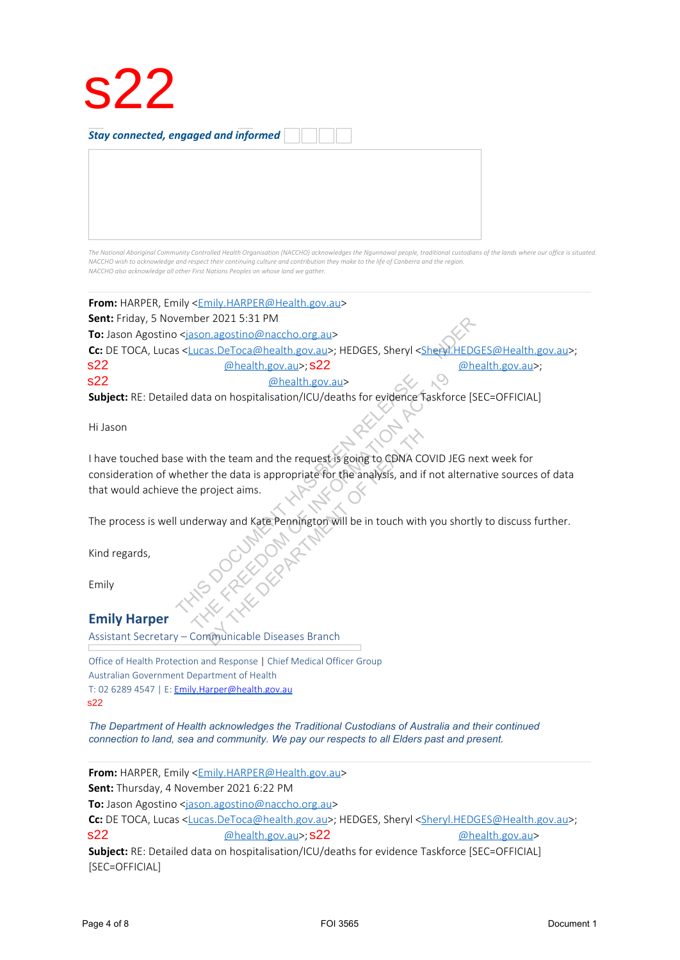

*Stay connected, engaged and informed*

The National Aboriginal Community Controlled Health Organisation (NACCHO) acknowledges the Ngunnawal people, traditional custodians of the lands where our office is situated. NACCHO wish to acknowledge and respect their continuing culture and contribution they make to the life of Canberra and the region. *NACCHO also acknowledge all other First Nations Peoples on whose land we gather.*

**From:** HARPER, Emily <Emily.HARPER@Health.gov.au>

**Sent:** Friday, 5 November 2021 5:31 PM

**To:** Jason Agostino <jason.agostino@naccho.org.au>

Cc: DE TOCA, Lucas <Lucas.DeToca@health.gov.au>; HEDGES, Sheryl <Sheryl.HEDGES@Health.gov.au>; @health.gov.au>; @health.gov.au>; s22 s22

@health.gov.au> s22

**Subject:** RE: Detailed data on hospitalisation/ICU/deaths for evidence Taskforce [SEC=OFFICIAL]

Hi Jason

I have touched base with the team and the request is going to CDNA COVID JEG next week for consideration of whether the data is appropriate for the analysis, and if not alternative sources of data that would achieve the project aims. Sent In ratio and the request the FOI 55. Sheryl Schedule HEDGES SHEMI age and Constrained State of 8 FOI 3565 Sheryl Schedule 2022<br>
SCRIPTIOCA, Lucas <br/>state Casta Constrained processing SCRIPTION (SUPPORT TO 2022).<br> Chealth.gov.au><br>
Chealth.gov.au><br>
data on hospitalisation/ICU/deaths for evidence faskforce<br>
with the team and the request is going to CDNA COVID JEG<br>
ther the data is appropriate for the analysis, and if not alter<br>
e proj the team and the request is going to CDNA COV<br>
The data is appropriate for the analysis, and if no<br>
roject aims.<br>
way and Kate Pennington will be in touch with y

The process is well underway and Kate Pennington will be in touch with you shortly to discuss further.

Kind regards,

Emily

## **Emily Harper**

Assistant Secretary – Communicable Diseases Branch

Office of Health Protection and Response | Chief Medical Officer Group Australian Government Department of Health T: 02 6289 4547 | E: Emily.Harper@health.gov.au s22

*The Department of Health acknowledges the Traditional Custodians of Australia and their continued connection to land, sea and community. We pay our respects to all Elders past and present.*

**From:** HARPER, Emily <Emily.HARPER@Health.gov.au>

**Sent:** Thursday, 4 November 2021 6:22 PM

**To:** Jason Agostino <jason.agostino@naccho.org.au>

Cc: DE TOCA, Lucas <Lucas.DeToca@health.gov.au>; HEDGES, Sheryl <Sheryl.HEDGES@Health.gov.au>; @health.gov.au>; @health.gov.au> s22 s22

**Subject:** RE: Detailed data on hospitalisation/ICU/deaths for evidence Taskforce [SEC=OFFICIAL] [SEC=OFFICIAL]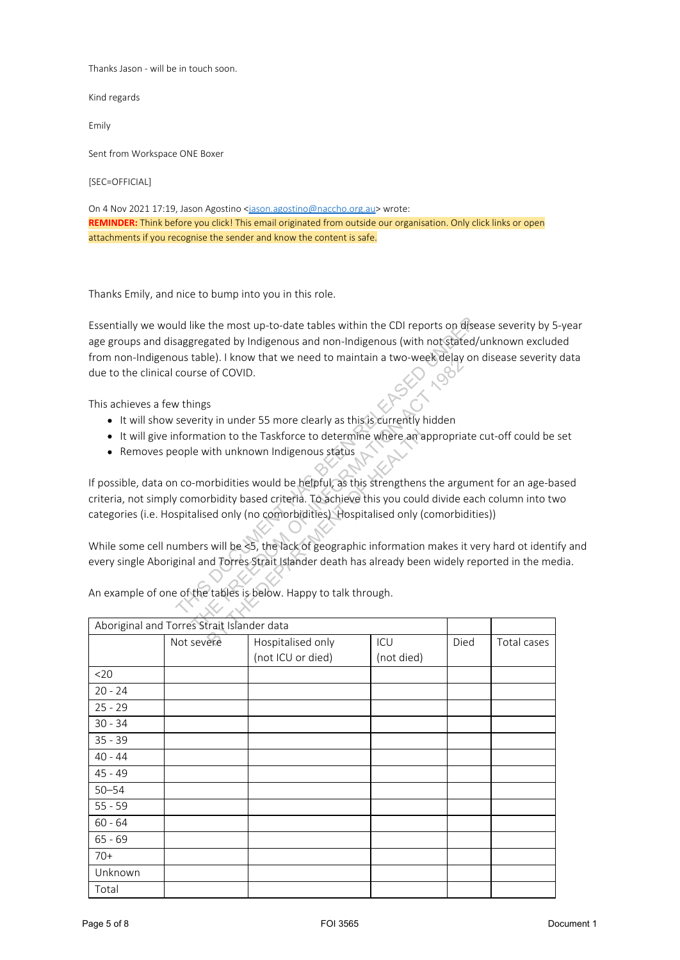Thanks Jason - will be in touch soon.

Kind regards

Emily

Sent from Workspace ONE Boxer

[SEC=OFFICIAL]

On 4 Nov 2021 17:19, Jason Agostino <jason.agostino@naccho.org.au> wrote: **REMINDER:** Think before you click! This email originated from outside our organisation. Only click links or open attachments if you recognise the sender and know the content is safe.

Thanks Emily, and nice to bump into you in this role.

- It will show severity in under 55 more clearly as this is currently hidden
- It will give information to the Taskforce to determine where an appropriate cut-off could be set
- Removes people with unknown Indigenous status

|           |                                                          | Essentially we would like the most up-to-date tables within the CDI reports on disease severity by 5-year |            |      |             |  |
|-----------|----------------------------------------------------------|-----------------------------------------------------------------------------------------------------------|------------|------|-------------|--|
|           |                                                          | age groups and disaggregated by Indigenous and non-Indigenous (with not stated/unknown excluded           |            |      |             |  |
|           |                                                          | from non-Indigenous table). I know that we need to maintain a two-week delay on disease severity data     |            |      |             |  |
|           | due to the clinical course of COVID.                     |                                                                                                           |            |      |             |  |
|           |                                                          |                                                                                                           |            |      |             |  |
|           | This achieves a few things                               |                                                                                                           |            |      |             |  |
|           |                                                          | • It will show severity in under 55 more clearly as this is currently hidden                              |            |      |             |  |
| $\bullet$ |                                                          | It will give information to the Taskforce to determine where an appropriate cut-off could be set          |            |      |             |  |
|           |                                                          | • Removes people with unknown Indigenous status                                                           |            |      |             |  |
|           |                                                          | If possible, data on co-morbidities would be helpful, as this strengthens the argument for an age-based   |            |      |             |  |
|           |                                                          | criteria, not simply comorbidity based criteria. To achieve this you could divide each column into two    |            |      |             |  |
|           |                                                          | categories (i.e. Hospitalised only (no comorbidities) Hospitalised only (comorbidities))                  |            |      |             |  |
|           |                                                          |                                                                                                           |            |      |             |  |
|           |                                                          | While some cell numbers will be <5, the lack of geographic information makes it very hard ot identify and |            |      |             |  |
|           |                                                          | every single Aboriginal and Torres Strait Islander death has already been widely reported in the media.   |            |      |             |  |
|           |                                                          |                                                                                                           |            |      |             |  |
|           |                                                          |                                                                                                           |            |      |             |  |
|           |                                                          |                                                                                                           |            |      |             |  |
|           |                                                          | An example of one of the tables is below. Happy to talk through.                                          |            |      |             |  |
|           |                                                          |                                                                                                           |            |      |             |  |
|           | Aboriginal and Torres Strait Islander data<br>Not severe | Hospitalised only                                                                                         | ICU        | Died | Total cases |  |
|           |                                                          | (not ICU or died)                                                                                         | (not died) |      |             |  |
| $20$      |                                                          |                                                                                                           |            |      |             |  |
| $20 - 24$ |                                                          |                                                                                                           |            |      |             |  |
| $25 - 29$ |                                                          |                                                                                                           |            |      |             |  |
| $30 - 34$ |                                                          |                                                                                                           |            |      |             |  |
| $35 - 39$ |                                                          |                                                                                                           |            |      |             |  |
| $40 - 44$ |                                                          |                                                                                                           |            |      |             |  |
| $45 - 49$ |                                                          |                                                                                                           |            |      |             |  |
| $50 - 54$ |                                                          |                                                                                                           |            |      |             |  |
| $55 - 59$ |                                                          |                                                                                                           |            |      |             |  |
| $60 - 64$ |                                                          |                                                                                                           |            |      |             |  |
| $65 - 69$ |                                                          |                                                                                                           |            |      |             |  |
| $70+$     |                                                          |                                                                                                           |            |      |             |  |
| Unknown   |                                                          |                                                                                                           |            |      |             |  |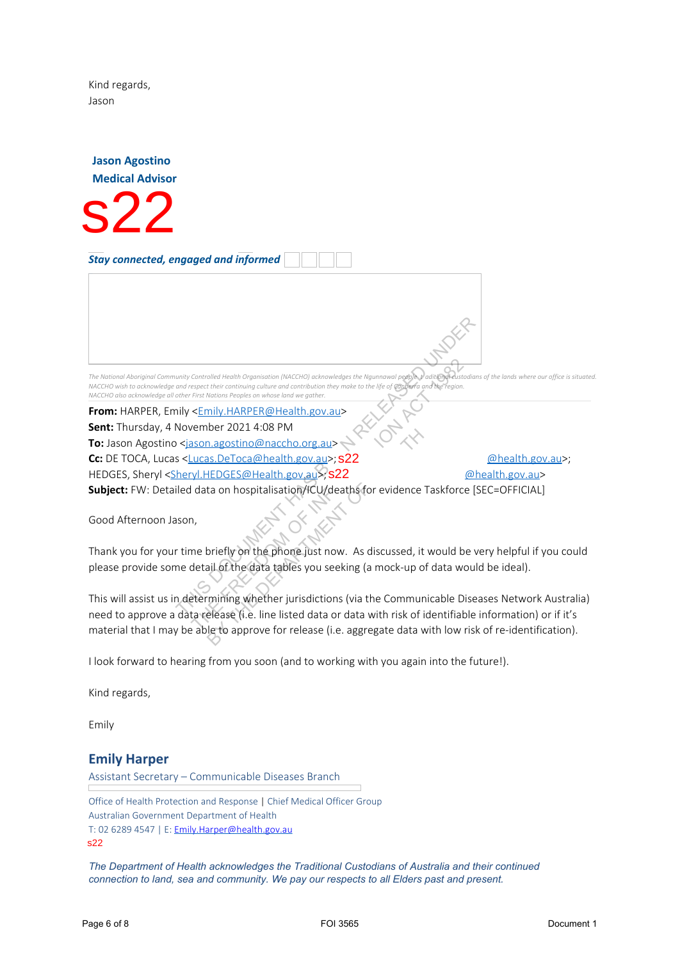Kind regards, Jason

**Jason Agostino Medical Advisor**

s22

*Stay connected, engaged and informed*

The National Aboriginal Community Controlled Health Organisation (NACCHO) acknowledges the Ngunnawal people y aditional eustodians of the lands v NACCHO wish to acknowledge and respect their continuing culture and contribution they make to the life of Can *NACCHO also acknowledge all other First Nations Peoples on whose land we gather.*

**From:** HARPER, Emily <**Emily.HARPER@Health.gov.au> Sent:** Thursday, 4 November 2021 4:08 PM To: Jason Agostino <jason.agostino@naccho.org.au> **Cc:** DE TOCA, Lucas <<u>Lucas.DeToca@health.gov.au</u>>; **S22** <u>@health.gov.au</u>>; HEDGES, Sheryl < <u>Sheryl.HEDGES@Health.gov.au</u>>>; **s22** <u>@health.gov.au</u>> **Subject:** FW: Detailed data on hospitalisation/ICU/deaths for evidence Taskforce [SEC=OFFICIAL] Processor and the state of 8 of 8 Formula 1 This page of 8 Andrea Chinache and the state of 8 Andre Chinache and the state of 8 Andre Chinache and the state of 8 Andre Chinache and the state of 8 Andre Chinache and the sta Controlled Health Organisation (MACCHO) acknowledges the Ngunnawal people and the Freedom Expect their continuing culture and contribution they make to the life of ombet and the region.<br>
First Nations Peoples on whose land The Procession Control Control Control Control Control Control Control Control Control Control Control Control Control Control Control Control Control Control Control Control Control Control Control Control Control Control

Good Afternoon Jason,

Thank you for your time briefly on the phone just now. As discussed, it would be very helpful if you could please provide some detail of the data tables you seeking (a mock-up of data would be ideal).

This will assist us in determining whether jurisdictions (via the Communicable Diseases Network Australia) need to approve a data release (i.e. line listed data or data with risk of identifiable information) or if it's material that I may be able to approve for release (i.e. aggregate data with low risk of re-identification).

I look forward to hearing from you soon (and to working with you again into the future!).

Kind regards,

Emily

## **Emily Harper**

Assistant Secretary – Communicable Diseases Branch

Office of Health Protection and Response | Chief Medical Officer Group Australian Government Department of Health T: 02 6289 4547 | E: Emily.Harper@health.gov.au s22

*The Department of Health acknowledges the Traditional Custodians of Australia and their continued connection to land, sea and community. We pay our respects to all Elders past and present.*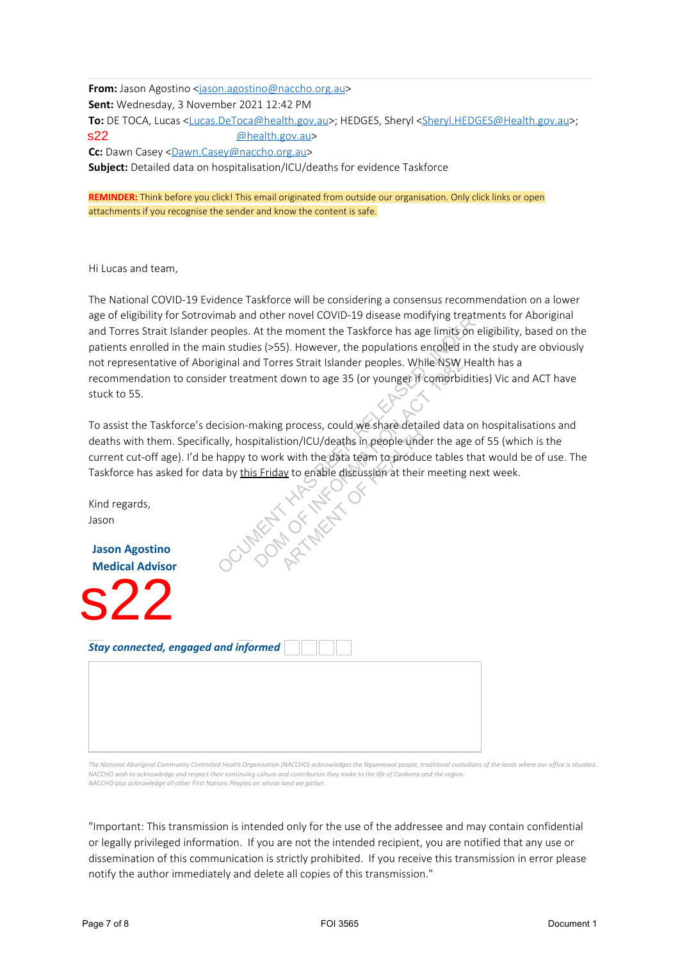**From:** Jason Agostino <jason.agostino@naccho.org.au> **Sent:** Wednesday, 3 November 2021 12:42 PM To: DE TOCA, Lucas <Lucas.DeToca@health.gov.au>; HEDGES, Sheryl <Sheryl.HEDGES@Health.gov.au>; @health.gov.au> Cc: Dawn Casey <Dawn.Casey@naccho.org.au> **Subject:** Detailed data on hospitalisation/ICU/deaths for evidence Taskforce s22

**REMINDER:** Think before you click! This email originated from outside our organisation. Only click links or open attachments if you recognise the sender and know the content is safe.

Hi Lucas and team,

The National COVID-19 Evidence Taskforce will be considering a consensus recommendation on a lower age of eligibility for Sotrovimab and other novel COVID-19 disease modifying treatments for Aboriginal and Torres Strait Islander peoples. At the moment the Taskforce has age limits on eligibility, based on the patients enrolled in the main studies (>55). However, the populations enrolled in the study are obviously not representative of Aboriginal and Torres Strait Islander peoples. While NSW Health has a recommendation to consider treatment down to age 35 (or younger if comorbidities) Vic and ACT have stuck to 55. Step to equinty on accounts and column that the step of the addresses and my contain column that the step of the step of the step of the step of the step of the step of the step of the step of the step of the step of the s

To assist the Taskforce's decision-making process, could we share detailed data on hospitalisations and deaths with them. Specifically, hospitalistion/ICU/deaths in people under the age of 55 (which is the current cut-off age). I'd be happy to work with the data team to produce tables that would be of use. The Taskforce has asked for data by this Friday to enable discussion at their meeting next week. d Torres Strait Islander peoples. While NSW Homent down to age 35 (or younger if comorbiding<br>ment down to age 35 (or younger if comorbiding<br>naking process, could we share detailed data of<br>pitalistion/ICU/deaths in people u

Kind regards, Jason

**Jason Agostino Medical Advisor**

s22

*Stay connected, engaged and informed*

The National Aboriginal Community Controlled Health Organisation (NACCHO) acknowledges the Ngunnawal people, traditional custodians of the lands where our office is situated. NACCHO wish to acknowledge and respect their continuing culture and contribution they make to the life of Canberra and the region *NACCHO also acknowledge all other First Nations Peoples on whose land we gather.*

"Important: This transmission is intended only for the use of the addressee and may contain confidential or legally privileged information. If you are not the intended recipient, you are notified that any use or dissemination of this communication is strictly prohibited. If you receive this transmission in error please notify the author immediately and delete all copies of this transmission."